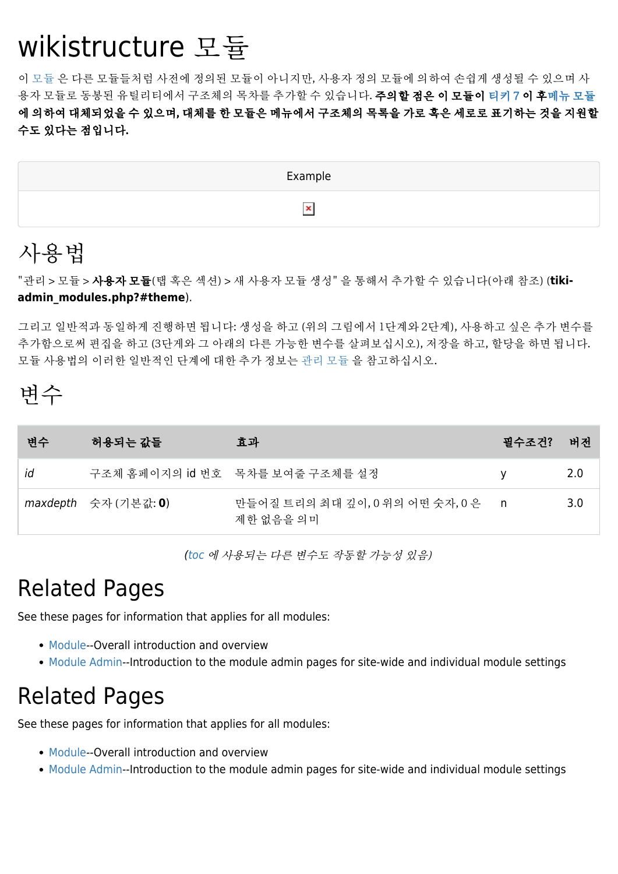# wikistructure 모듈

이 [모듈](https://doc.tiki.org/Module) 은 다른 모듈들처럼 사전에 정의된 모듈이 아니지만, 사용자 정의 모듈에 의하여 손쉽게 생성될 수 있으며 사 용자 모듈로 동봉된 유틸리티에서 구조체의 목차를 추가할 수 있습니다. **주의할 점은 이 모듈이 [티키 7](https://doc.tiki.org/Tiki7) 이 [후메뉴 모듈](https://doc.tiki.org/Module-menu)** 에 의하여 대체되었을 수 있으며, 대체를 한 모듈은 메뉴에서 구조체의 목록을 가로 혹은 세로로 표기하는 것을 지원할 수도 있다는 점입니다.



#### 사용법

"관리 > 모듈 > 사용자 모듈(탭 혹은 섹션) > 새 사용자 모듈 생성" 을 통해서 추가할 수 있습니다(아래 참조) (**tikiadmin\_modules.php?#theme**).

그리고 일반적과 동일하게 진행하면 됩니다: 생성을 하고 (위의 그림에서 1단계와 2단계), 사용하고 싶은 추가 변수를 추가함으로써 편집을 하고 (3단게와 그 아래의 다른 가능한 변수를 살펴보십시오), 저장을 하고, 할당을 하면 됩니다. 모듈 사용법의 이러한 일반적인 단계에 대한 추가 정보는 [관리 모듈](https://doc.tiki.org/Module-Admin) 을 참고하십시오.

### 변수

| 변수 | . 허용되는 값들 !                                                              | 효과                                           | 필수조건? | 버전  |
|----|--------------------------------------------------------------------------|----------------------------------------------|-------|-----|
| id |                                                                          | 구조체 홈페이지의 id 번호 목차를 보여줄 구조체를 설정              | v     | 2.0 |
|    | $maxdepth \quad \hat{\pm} \lambda \cdot (\text{7} \geq \lambda) \cdot 0$ | 만들어질 트리의 최대 깊이, 0 위의 어떤 숫자, 0 은<br>제한 없음을 의미 |       | 3.0 |

[\(toc](https://doc.tiki.org/TOC) 에 사용되는 다른 변수도 작동할 가능성 있음)

### Related Pages

See these pages for information that applies for all modules:

- [Module](https://doc.tiki.org/Module)--Overall introduction and overview
- [Module Admin-](https://doc.tiki.org/Module-Admin)-Introduction to the module admin pages for site-wide and individual module settings

#### Related Pages

See these pages for information that applies for all modules:

- [Module](https://doc.tiki.org/Module)--Overall introduction and overview
- [Module Admin-](https://doc.tiki.org/Module-Admin)-Introduction to the module admin pages for site-wide and individual module settings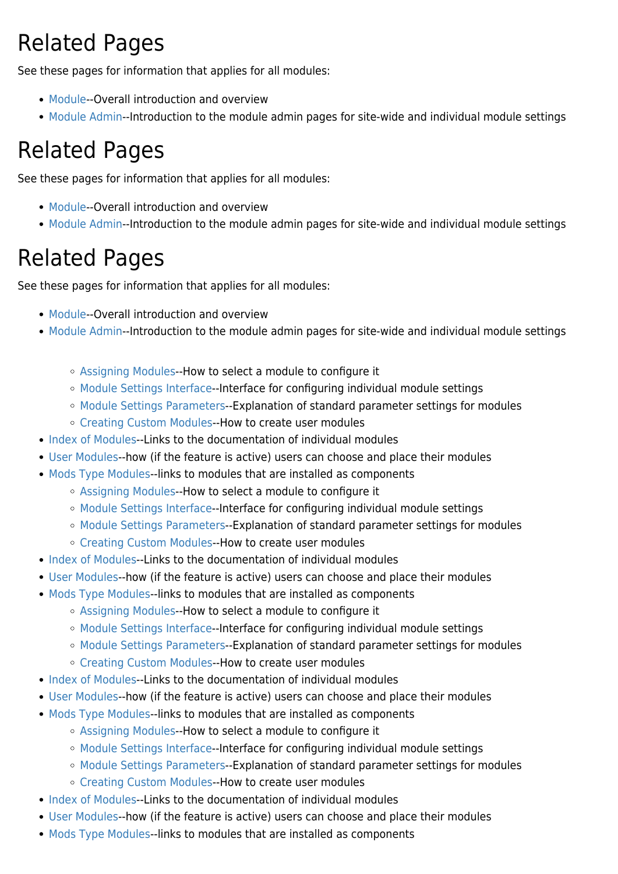# Related Pages

See these pages for information that applies for all modules:

- [Module](https://doc.tiki.org/Module)--Overall introduction and overview
- [Module Admin-](https://doc.tiki.org/Module-Admin)-Introduction to the module admin pages for site-wide and individual module settings

# Related Pages

See these pages for information that applies for all modules:

- [Module](https://doc.tiki.org/Module)--Overall introduction and overview
- [Module Admin-](https://doc.tiki.org/Module-Admin)-Introduction to the module admin pages for site-wide and individual module settings

## Related Pages

See these pages for information that applies for all modules:

- [Module](https://doc.tiki.org/Module)--Overall introduction and overview
- [Module Admin-](https://doc.tiki.org/Module-Admin)-Introduction to the module admin pages for site-wide and individual module settings
	- [Assigning Modules](https://doc.tiki.org/Assigning-Modules)--How to select a module to configure it
	- [Module Settings Interface](https://doc.tiki.org/Module-Settings-Interface)--Interface for configuring individual module settings
	- [Module Settings Parameters](https://doc.tiki.org/Module-Settings-Parameters)--Explanation of standard parameter settings for modules
	- [Creating Custom Modules-](https://doc.tiki.org/Creating-Custom-Modules)-How to create user modules
- [Index of Modules](https://doc.tiki.org/Index-of-Modules)--Links to the documentation of individual modules
- [User Modules-](https://doc.tiki.org/User-Modules)-how (if the feature is active) users can choose and place their modules
- [Mods Type Modules-](https://doc.tiki.org/Mods-Type-Modules)-links to modules that are installed as components
	- [Assigning Modules](https://doc.tiki.org/Assigning-Modules)--How to select a module to configure it
	- [Module Settings Interface](https://doc.tiki.org/Module-Settings-Interface)--Interface for configuring individual module settings
	- [Module Settings Parameters](https://doc.tiki.org/Module-Settings-Parameters)--Explanation of standard parameter settings for modules
	- [Creating Custom Modules-](https://doc.tiki.org/Creating-Custom-Modules)-How to create user modules
- [Index of Modules](https://doc.tiki.org/Index-of-Modules)--Links to the documentation of individual modules
- [User Modules-](https://doc.tiki.org/User-Modules)-how (if the feature is active) users can choose and place their modules
- [Mods Type Modules-](https://doc.tiki.org/Mods-Type-Modules)-links to modules that are installed as components
	- [Assigning Modules](https://doc.tiki.org/Assigning-Modules)--How to select a module to configure it
	- [Module Settings Interface](https://doc.tiki.org/Module-Settings-Interface)--Interface for configuring individual module settings
	- [Module Settings Parameters](https://doc.tiki.org/Module-Settings-Parameters)--Explanation of standard parameter settings for modules
	- [Creating Custom Modules-](https://doc.tiki.org/Creating-Custom-Modules)-How to create user modules
- [Index of Modules](https://doc.tiki.org/Index-of-Modules)--Links to the documentation of individual modules
- [User Modules-](https://doc.tiki.org/User-Modules)-how (if the feature is active) users can choose and place their modules
- [Mods Type Modules-](https://doc.tiki.org/Mods-Type-Modules)-links to modules that are installed as components
	- [Assigning Modules](https://doc.tiki.org/Assigning-Modules)--How to select a module to configure it
	- [Module Settings Interface](https://doc.tiki.org/Module-Settings-Interface)--Interface for configuring individual module settings
	- [Module Settings Parameters](https://doc.tiki.org/Module-Settings-Parameters)--Explanation of standard parameter settings for modules
	- [Creating Custom Modules-](https://doc.tiki.org/Creating-Custom-Modules)-How to create user modules
- [Index of Modules](https://doc.tiki.org/Index-of-Modules)--Links to the documentation of individual modules
- [User Modules-](https://doc.tiki.org/User-Modules)-how (if the feature is active) users can choose and place their modules
- [Mods Type Modules-](https://doc.tiki.org/Mods-Type-Modules)-links to modules that are installed as components